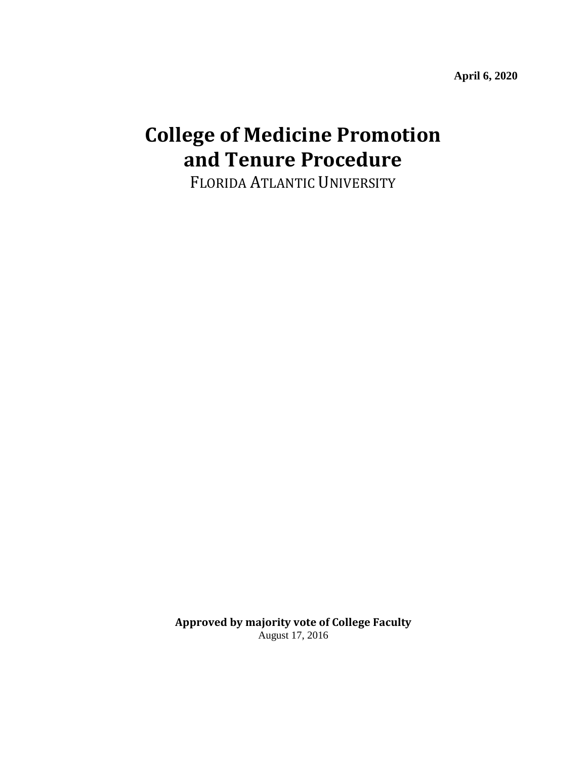**April 6, 2020**

# **College of Medicine Promotion and Tenure Procedure**

FLORIDA ATLANTIC UNIVERSITY

**Approved by majority vote of College Faculty** August 17, 2016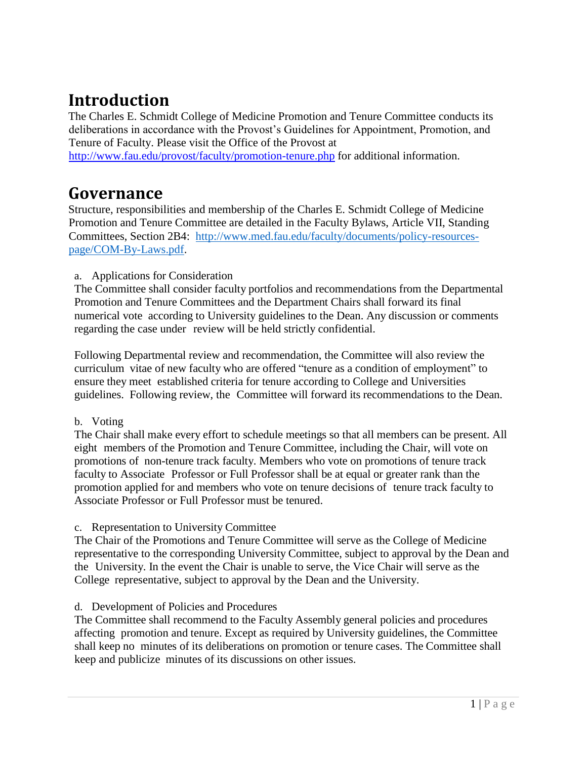## **Introduction**

The Charles E. Schmidt College of Medicine Promotion and Tenure Committee conducts its deliberations in accordance with the Provost's Guidelines for Appointment, Promotion, and Tenure of Faculty. Please visit the Office of the Provost at

<http://www.fau.edu/provost/faculty/promotion-tenure.php> [f](http://www.fau.edu/provost/faculty/promotion-tenure.php)or additional information.

### **Governance**

Structure, responsibilities and membership of the Charles E. Schmidt College of Medicine Promotion and Tenure Committee are detailed in the Faculty Bylaws, Article VII, Standing Committees, Section 2B4: [http://www.med.fau.edu/faculty/documents/policy-resources](http://www.med.fau.edu/faculty/documents/policy-resources-page/COM-By-Laws.pdf)[page/COM-By-Laws.pdf.](http://www.med.fau.edu/faculty/documents/policy-resources-page/COM-By-Laws.pdf)

#### a. Applications for Consideration

The Committee shall consider faculty portfolios and recommendations from the Departmental Promotion and Tenure Committees and the Department Chairs shall forward its final numerical vote according to University guidelines to the Dean. Any discussion or comments regarding the case under review will be held strictly confidential.

Following Departmental review and recommendation, the Committee will also review the curriculum vitae of new faculty who are offered "tenure as a condition of employment" to ensure they meet established criteria for tenure according to College and Universities guidelines. Following review, the Committee will forward its recommendations to the Dean.

#### b. Voting

The Chair shall make every effort to schedule meetings so that all members can be present. All eight members of the Promotion and Tenure Committee, including the Chair, will vote on promotions of non-tenure track faculty. Members who vote on promotions of tenure track faculty to Associate Professor or Full Professor shall be at equal or greater rank than the promotion applied for and members who vote on tenure decisions of tenure track faculty to Associate Professor or Full Professor must be tenured.

#### c. Representation to University Committee

The Chair of the Promotions and Tenure Committee will serve as the College of Medicine representative to the corresponding University Committee, subject to approval by the Dean and the University. In the event the Chair is unable to serve, the Vice Chair will serve as the College representative, subject to approval by the Dean and the University.

#### d. Development of Policies and Procedures

The Committee shall recommend to the Faculty Assembly general policies and procedures affecting promotion and tenure. Except as required by University guidelines, the Committee shall keep no minutes of its deliberations on promotion or tenure cases. The Committee shall keep and publicize minutes of its discussions on other issues.